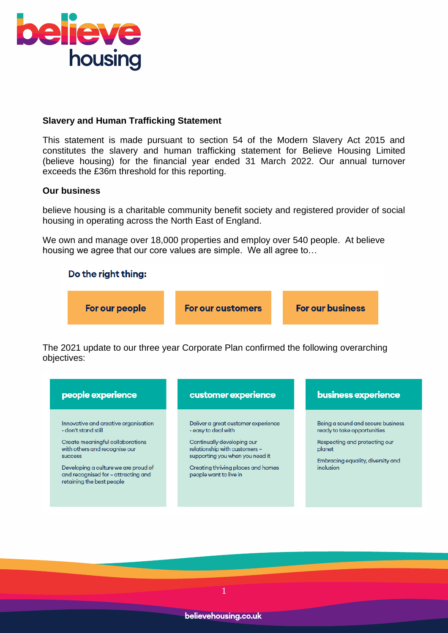

# **Slavery and Human Trafficking Statement**

This statement is made pursuant to section 54 of the Modern Slavery Act 2015 and constitutes the slavery and human trafficking statement for Believe Housing Limited (believe housing) for the financial year ended 31 March 2022. Our annual turnover exceeds the £36m threshold for this reporting.

#### **Our business**

believe housing is a charitable community benefit society and registered provider of social housing in operating across the North East of England.

We own and manage over 18,000 properties and employ over 540 people. At believe housing we agree that our core values are simple. We all agree to…



The 2021 update to our three year Corporate Plan confirmed the following overarching objectives:

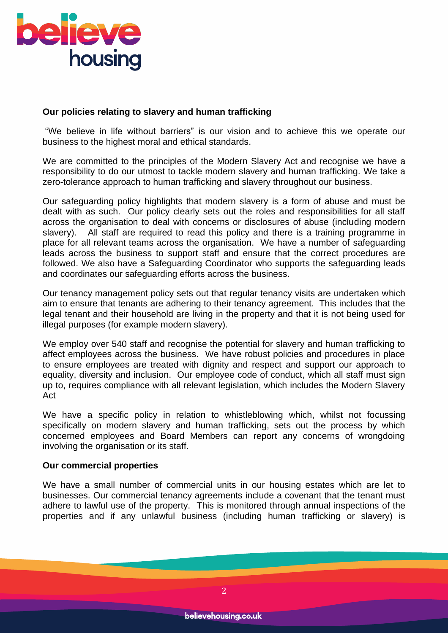

### **Our policies relating to slavery and human trafficking**

"We believe in life without barriers" is our vision and to achieve this we operate our business to the highest moral and ethical standards.

We are committed to the principles of the Modern Slavery Act and recognise we have a responsibility to do our utmost to tackle modern slavery and human trafficking. We take a zero-tolerance approach to human trafficking and slavery throughout our business.

Our safeguarding policy highlights that modern slavery is a form of abuse and must be dealt with as such. Our policy clearly sets out the roles and responsibilities for all staff across the organisation to deal with concerns or disclosures of abuse (including modern slavery). All staff are required to read this policy and there is a training programme in place for all relevant teams across the organisation. We have a number of safeguarding leads across the business to support staff and ensure that the correct procedures are followed. We also have a Safeguarding Coordinator who supports the safeguarding leads and coordinates our safeguarding efforts across the business.

Our tenancy management policy sets out that regular tenancy visits are undertaken which aim to ensure that tenants are adhering to their tenancy agreement. This includes that the legal tenant and their household are living in the property and that it is not being used for illegal purposes (for example modern slavery).

We employ over 540 staff and recognise the potential for slavery and human trafficking to affect employees across the business. We have robust policies and procedures in place to ensure employees are treated with dignity and respect and support our approach to equality, diversity and inclusion. Our employee code of conduct, which all staff must sign up to, requires compliance with all relevant legislation, which includes the Modern Slavery Act

We have a specific policy in relation to whistleblowing which, whilst not focussing specifically on modern slavery and human trafficking, sets out the process by which concerned employees and Board Members can report any concerns of wrongdoing involving the organisation or its staff.

#### **Our commercial properties**

We have a small number of commercial units in our housing estates which are let to businesses. Our commercial tenancy agreements include a covenant that the tenant must adhere to lawful use of the property. This is monitored through annual inspections of the properties and if any unlawful business (including human trafficking or slavery) is

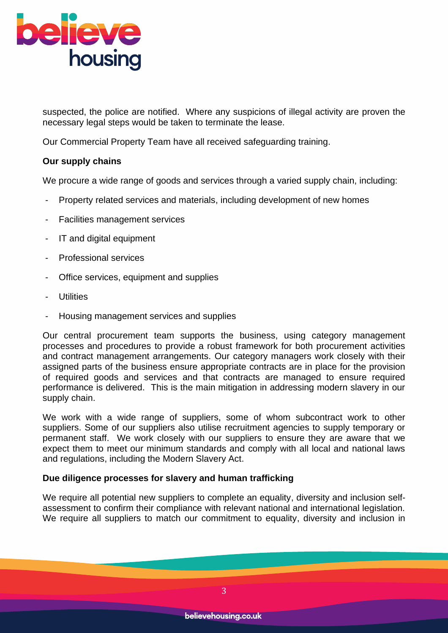

suspected, the police are notified. Where any suspicions of illegal activity are proven the necessary legal steps would be taken to terminate the lease.

Our Commercial Property Team have all received safeguarding training.

# **Our supply chains**

We procure a wide range of goods and services through a varied supply chain, including:

- Property related services and materials, including development of new homes
- Facilities management services
- IT and digital equipment
- Professional services
- Office services, equipment and supplies
- **Utilities**
- Housing management services and supplies

Our central procurement team supports the business, using category management processes and procedures to provide a robust framework for both procurement activities and contract management arrangements. Our category managers work closely with their assigned parts of the business ensure appropriate contracts are in place for the provision of required goods and services and that contracts are managed to ensure required performance is delivered. This is the main mitigation in addressing modern slavery in our supply chain.

We work with a wide range of suppliers, some of whom subcontract work to other suppliers. Some of our suppliers also utilise recruitment agencies to supply temporary or permanent staff. We work closely with our suppliers to ensure they are aware that we expect them to meet our minimum standards and comply with all local and national laws and regulations, including the Modern Slavery Act.

# **Due diligence processes for slavery and human trafficking**

We require all potential new suppliers to complete an equality, diversity and inclusion selfassessment to confirm their compliance with relevant national and international legislation. We require all suppliers to match our commitment to equality, diversity and inclusion in